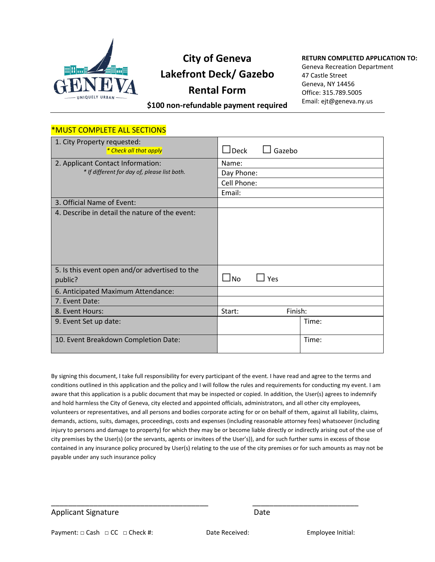

## **City of Geneva Lakefront Deck/ Gazebo Rental Form**

## **RETURN COMPLETED APPLICATION TO:**

Geneva Recreation Department 47 Castle Street Geneva, NY 14456 Office: 315.789.5005 Email: ejt@geneva.ny.us

**\$100 non-refundable payment required**

## \*MUST COMPLETE ALL SECTIONS

| 1. City Property requested:<br>* Check all that apply | Gazebo<br>$\sqcup$ Deck |
|-------------------------------------------------------|-------------------------|
| 2. Applicant Contact Information:                     | Name:                   |
| * If different for day of, please list both.          | Day Phone:              |
|                                                       | Cell Phone:             |
|                                                       | Email:                  |
| 3. Official Name of Event:                            |                         |
| 4. Describe in detail the nature of the event:        |                         |
|                                                       |                         |
|                                                       |                         |
|                                                       |                         |
|                                                       |                         |
| 5. Is this event open and/or advertised to the        |                         |
| public?                                               | $\Box$ Yes<br>$\Box$ No |
| 6. Anticipated Maximum Attendance:                    |                         |
| 7. Event Date:                                        |                         |
| 8. Event Hours:                                       | Start:<br>Finish:       |
| 9. Event Set up date:                                 | Time:                   |
| 10. Event Breakdown Completion Date:                  | Time:                   |

By signing this document, I take full responsibility for every participant of the event. I have read and agree to the terms and conditions outlined in this application and the policy and I will follow the rules and requirements for conducting my event. I am aware that this application is a public document that may be inspected or copied. In addition, the User(s) agrees to indemnify and hold harmless the City of Geneva, city elected and appointed officials, administrators, and all other city employees, volunteers or representatives, and all persons and bodies corporate acting for or on behalf of them, against all liability, claims, demands, actions, suits, damages, proceedings, costs and expenses (including reasonable attorney fees) whatsoever (including injury to persons and damage to property) for which they may be or become liable directly or indirectly arising out of the use of city premises by the User(s) (or the servants, agents or invitees of the User's)), and for such further sums in excess of those contained in any insurance policy procured by User(s) relating to the use of the city premises or for such amounts as may not be payable under any such insurance policy

Applicant Signature Date

\_\_\_\_\_\_\_\_\_\_\_\_\_\_\_\_\_\_\_\_\_\_\_\_\_\_\_\_\_\_\_\_\_\_\_\_\_ \_\_\_\_\_\_\_\_\_\_\_\_\_\_\_\_\_\_\_\_\_\_\_\_\_